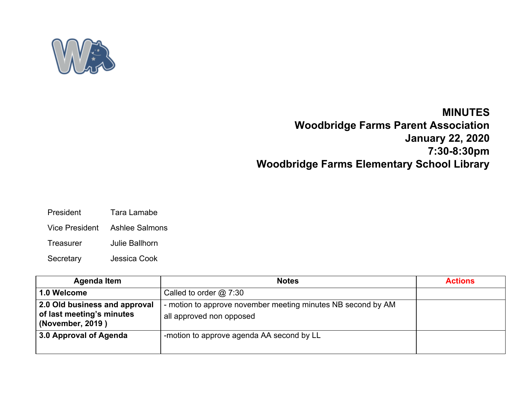

## **MINUTES**

**Woodbridge Farms Parent Association January 22, 2020 7:30-8:30pm Woodbridge Farms Elementary School Library**

- President Tara Lamabe
- Vice President Ashlee Salmons
- Treasurer Julie Ballhorn
- Secretary Jessica Cook

| <b>Agenda Item</b>                                                             | <b>Notes</b>                                                                             | <b>Actions</b> |
|--------------------------------------------------------------------------------|------------------------------------------------------------------------------------------|----------------|
| 1.0 Welcome                                                                    | Called to order $@$ 7:30                                                                 |                |
| 2.0 Old business and approval<br>of last meeting's minutes<br>(November, 2019) | - motion to approve november meeting minutes NB second by AM<br>all approved non opposed |                |
| 3.0 Approval of Agenda                                                         | -motion to approve agenda AA second by LL                                                |                |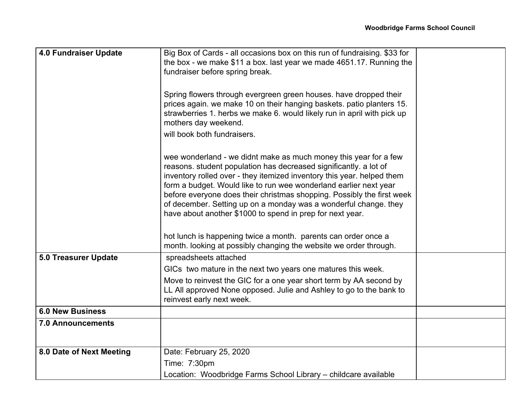| <b>4.0 Fundraiser Update</b> | Big Box of Cards - all occasions box on this run of fundraising. \$33 for                                                                                                                                                                                                                                                                                                                                                                                                                                                                                                                                                              |  |
|------------------------------|----------------------------------------------------------------------------------------------------------------------------------------------------------------------------------------------------------------------------------------------------------------------------------------------------------------------------------------------------------------------------------------------------------------------------------------------------------------------------------------------------------------------------------------------------------------------------------------------------------------------------------------|--|
|                              | the box - we make \$11 a box. last year we made 4651.17. Running the                                                                                                                                                                                                                                                                                                                                                                                                                                                                                                                                                                   |  |
|                              | fundraiser before spring break.                                                                                                                                                                                                                                                                                                                                                                                                                                                                                                                                                                                                        |  |
|                              | Spring flowers through evergreen green houses. have dropped their<br>prices again. we make 10 on their hanging baskets. patio planters 15.<br>strawberries 1. herbs we make 6. would likely run in april with pick up<br>mothers day weekend.                                                                                                                                                                                                                                                                                                                                                                                          |  |
|                              | will book both fundraisers.                                                                                                                                                                                                                                                                                                                                                                                                                                                                                                                                                                                                            |  |
|                              | wee wonderland - we didnt make as much money this year for a few<br>reasons. student population has decreased significantly. a lot of<br>inventory rolled over - they itemized inventory this year. helped them<br>form a budget. Would like to run wee wonderland earlier next year<br>before everyone does their christmas shopping. Possibly the first week<br>of december. Setting up on a monday was a wonderful change. they<br>have about another \$1000 to spend in prep for next year.<br>hot lunch is happening twice a month. parents can order once a<br>month. looking at possibly changing the website we order through. |  |
| <b>5.0 Treasurer Update</b>  | spreadsheets attached                                                                                                                                                                                                                                                                                                                                                                                                                                                                                                                                                                                                                  |  |
|                              | GICs two mature in the next two years one matures this week.                                                                                                                                                                                                                                                                                                                                                                                                                                                                                                                                                                           |  |
|                              | Move to reinvest the GIC for a one year short term by AA second by<br>LL All approved None opposed. Julie and Ashley to go to the bank to<br>reinvest early next week.                                                                                                                                                                                                                                                                                                                                                                                                                                                                 |  |
| <b>6.0 New Business</b>      |                                                                                                                                                                                                                                                                                                                                                                                                                                                                                                                                                                                                                                        |  |
| <b>7.0 Announcements</b>     |                                                                                                                                                                                                                                                                                                                                                                                                                                                                                                                                                                                                                                        |  |
| 8.0 Date of Next Meeting     | Date: February 25, 2020                                                                                                                                                                                                                                                                                                                                                                                                                                                                                                                                                                                                                |  |
|                              | Time: 7:30pm                                                                                                                                                                                                                                                                                                                                                                                                                                                                                                                                                                                                                           |  |
|                              | Location: Woodbridge Farms School Library - childcare available                                                                                                                                                                                                                                                                                                                                                                                                                                                                                                                                                                        |  |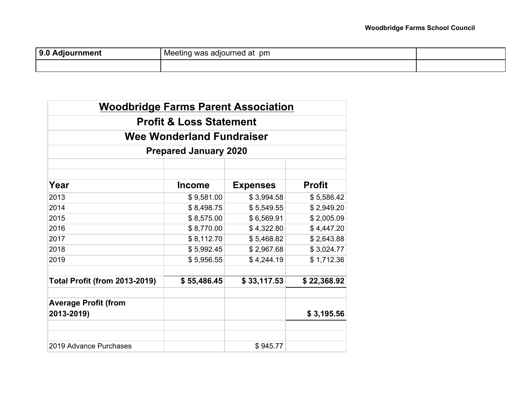| 9.0<br><b>1 Adjournment</b> | was adjourned at pm<br>Meeting ≌ |  |
|-----------------------------|----------------------------------|--|
|                             |                                  |  |

| <b>Woodbridge Farms Parent Association</b> |                                    |                 |               |  |  |
|--------------------------------------------|------------------------------------|-----------------|---------------|--|--|
|                                            | <b>Profit &amp; Loss Statement</b> |                 |               |  |  |
|                                            | Wee Wonderland Fundraiser          |                 |               |  |  |
|                                            | <b>Prepared January 2020</b>       |                 |               |  |  |
|                                            |                                    |                 |               |  |  |
| Year                                       | <b>Income</b>                      | <b>Expenses</b> | <b>Profit</b> |  |  |
| 2013                                       | \$9,581.00                         | \$3,994.58      | \$5,586.42    |  |  |
| 2014                                       | \$8,498.75                         | \$5,549.55      | \$2,949.20    |  |  |
| 2015                                       | \$8,575.00                         | \$6,569.91      | \$2,005.09    |  |  |
| 2016                                       | \$8,770.00                         | \$4,322.80      | \$4,447.20    |  |  |
| 2017                                       | \$8,112.70                         | \$5,468.82      | \$2,643.88    |  |  |
| 2018                                       | \$5,992.45                         | \$2,967.68      | \$3,024.77    |  |  |
| 2019                                       | \$5,956.55                         | \$4,244.19      | \$1,712.36    |  |  |
| <b>Total Profit (from 2013-2019)</b>       | \$55,486.45                        | \$33,117.53     | \$22,368.92   |  |  |
| <b>Average Profit (from</b><br>2013-2019)  |                                    |                 | \$3,195.56    |  |  |
|                                            |                                    |                 |               |  |  |
| 2019 Advance Purchases                     |                                    | \$945.77        |               |  |  |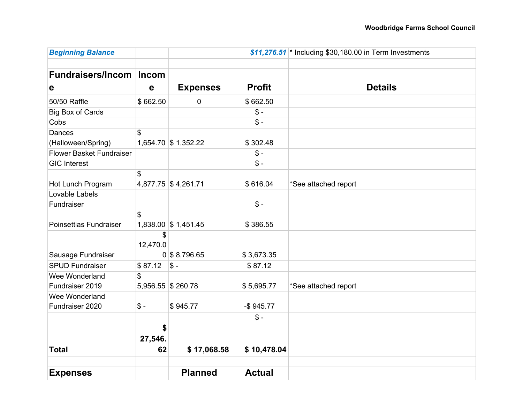| <b>Beginning Balance</b>        |                |                     | $$11,276.51$ * Including \$30,180.00 in Term Investments |                      |
|---------------------------------|----------------|---------------------|----------------------------------------------------------|----------------------|
|                                 |                |                     |                                                          |                      |
| <b>Fundraisers/Incom</b>        | <b>Incom</b>   |                     |                                                          |                      |
| e                               | $\mathbf e$    | <b>Expenses</b>     | <b>Profit</b>                                            | <b>Details</b>       |
| 50/50 Raffle                    | \$662.50       | 0                   | \$662.50                                                 |                      |
| <b>Big Box of Cards</b>         |                |                     | $S -$                                                    |                      |
| Cobs                            |                |                     | $\mathcal{S}$ -                                          |                      |
| Dances                          | \$             |                     |                                                          |                      |
| (Halloween/Spring)              |                | 1,654.70 \$1,352.22 | \$302.48                                                 |                      |
| <b>Flower Basket Fundraiser</b> |                |                     | $\mathcal{S}$ -                                          |                      |
| <b>GIC Interest</b>             |                |                     | $\mathcal{S}$ -                                          |                      |
| Hot Lunch Program               | \$             | 4,877.75 \$4,261.71 | \$616.04                                                 | *See attached report |
| Lovable Labels                  |                |                     |                                                          |                      |
| Fundraiser                      |                |                     | $$ -$                                                    |                      |
|                                 | \$             |                     |                                                          |                      |
| Poinsettias Fundraiser          |                | 1,838.00 \$1,451.45 | \$386.55                                                 |                      |
|                                 | \$<br>12,470.0 |                     |                                                          |                      |
| Sausage Fundraiser              |                | $0$ \$ 8,796.65     | \$3,673.35                                               |                      |
| <b>SPUD Fundraiser</b>          | \$87.12        | $S -$               | \$87.12                                                  |                      |
| Wee Wonderland                  | \$             |                     |                                                          |                      |
| Fundraiser 2019                 |                | 5,956.55 \$260.78   | \$5,695.77                                               | *See attached report |
| Wee Wonderland                  |                |                     |                                                          |                      |
| Fundraiser 2020                 | $$ -$          | \$945.77            | $-$ \$945.77                                             |                      |
|                                 |                |                     | $S -$                                                    |                      |
|                                 | \$             |                     |                                                          |                      |
|                                 | 27,546.        |                     |                                                          |                      |
| <b>Total</b>                    | 62             | \$17,068.58         | \$10,478.04                                              |                      |
|                                 |                |                     |                                                          |                      |
| <b>Expenses</b>                 |                | <b>Planned</b>      | <b>Actual</b>                                            |                      |